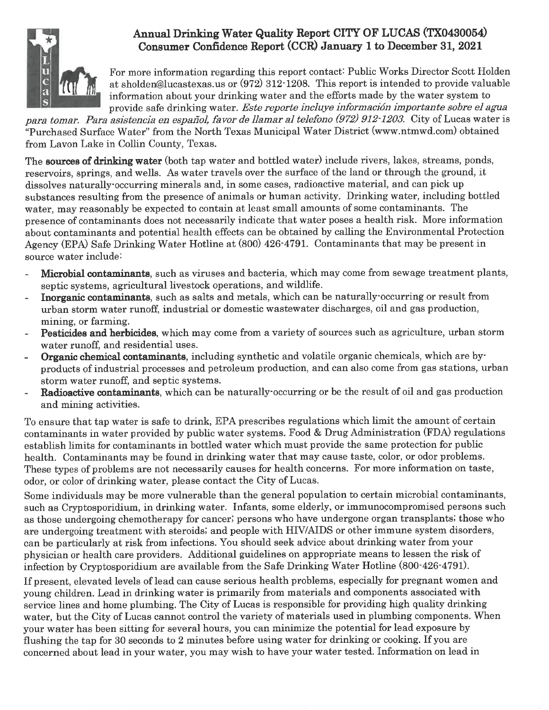

# Annual Drinking Water Quality Report CITY OF LUCAS (TX0430054) Consumer Confidence Report (CCR) January 1 to December 31, 2021

For more information regarding this report contact: Public Works Director Scott Holden at sholden@lucastexas.us or (972) 312-1208. This report is intended to provide valuable information about your drinking water and the efforts made by the water system to provide safe drinking water. Este reporte incluye información importante sobre el agua

para tomar. Para asistencia en español, favor de llamar al telefono (972) 912-1203. City of Lucas water is "Purchased Surface Water" from the North Texas Municipal Water District (www.ntmwd.com) obtained from Lavon Lake in Collin County, Texas.

The sources of drinking water (both tap water and bottled water) include rivers, lakes, streams, ponds, reservoirs, springs, and wells. As water travels over the surface of the land or through the ground, it dissolves naturally occurring minerals and, in some cases, radioactive material, and can pick up substances resulting from the presence of animals or human activity. Drinking water, including bottled water, may reasonably be expected to contain at least small amounts of some contaminants. The presence of contaminants does not necessarily indicate that water poses a health risk. More information about contaminants and potential health effects can be obtained by calling the Environmental Protection Agency (EPA) Safe Drinking Water Hotline at (800) 426-4791. Contaminants that may be present in source water include:

- Microbial contaminants, such as viruses and bacteria, which may come from sewage treatment plants, septic systems, agricultural livestock operations, and wildlife.
- Inorganic contaminants, such as salts and metals, which can be naturally occurring or result from urban storm water runoff, industrial or domestic wastewater discharges, oil and gas production, mining, or farming.
- Pesticides and herbicides, which may come from a variety of sources such as agriculture, urban storm water runoff, and residential uses.
- Organic chemical contaminants, including synthetic and volatile organic chemicals, which are byproducts of industrial processes and petroleum production, and can also come from gas stations, urban storm water runoff, and septic systems.
- **Radioactive contaminants**, which can be naturally occurring or be the result of oil and gas production and mining activities.

To ensure that tap water is safe to drink, EPA prescribes regulations which limit the amount of certain contaminants in water provided by public water systems. Food & Drug Administration (FDA) regulations establish limits for contaminants in bottled water which must provide the same protection for public health. Contaminants may be found in drinking water that may cause taste, color, or odor problems. These types of problems are not necessarily causes for health concerns. For more information on taste, odor, or color of drinking water, please contact the City of Lucas.

Some individuals may be more vulnerable than the general population to certain microbial contaminants, such as Cryptosporidium, in drinking water. Infants, some elderly, or immunocompromised persons such as those undergoing chemotherapy for cancer; persons who have undergone organ transplants; those who are undergoing treatment with steroids; and people with HIV/AIDS or other immune system disorders, can be particularly at risk from infections. You should seek advice about drinking water from your physician or health care providers. Additional guidelines on appropriate means to lessen the risk of infection by Cryptosporidium are available from the Safe Drinking Water Hotline (800-426-4791).

If present, elevated levels of lead can cause serious health problems, especially for pregnant women and young children. Lead in drinking water is primarily from materials and components associated with service lines and home plumbing. The City of Lucas is responsible for providing high quality drinking water, but the City of Lucas cannot control the variety of materials used in plumbing components. When your water has been sitting for several hours, you can minimize the potential for lead exposure by flushing the tap for 30 seconds to 2 minutes before using water for drinking or cooking. If you are concerned about lead in your water, you may wish to have your water tested. Information on lead in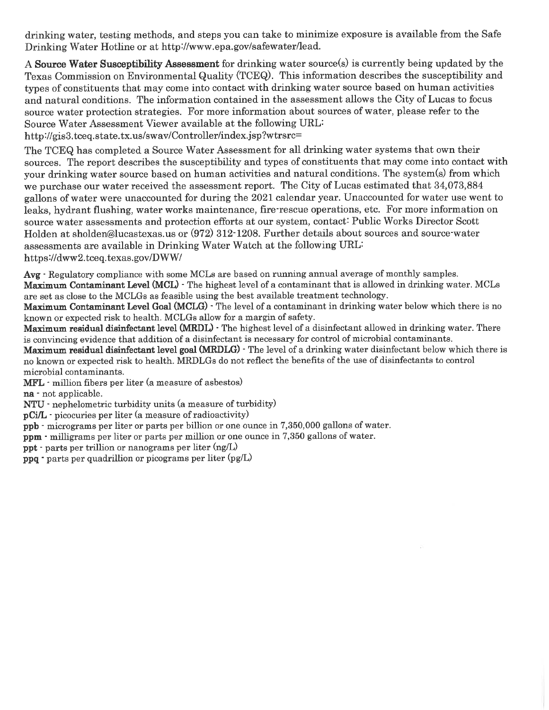drinking water, testing methods, and steps you can take to minimize exposure is available from the Safe Drinking Water Hotline or at http://www.epa.gov/safewater/lead.

A Source Water Susceptibility Assessment for drinking water source(s) is currently being updated by the Texas Commission on Environmental Quality (TCEQ). This information describes the susceptibility and types of constituents that may come into contact with drinking water source based on human activities and natural conditions. The information contained in the assessment allows the City of Lucas to focus source water protection strategies. For more information about sources of water, please refer to the Source Water Assessment Viewer available at the following URL:

http://gis3.tceq.state.tx.us/swav/Controller/index.isp?wtrsrc=

The TCEQ has completed a Source Water Assessment for all drinking water systems that own their sources. The report describes the susceptibility and types of constituents that may come into contact with your drinking water source based on human activities and natural conditions. The system(s) from which we purchase our water received the assessment report. The City of Lucas estimated that 34,073,884 gallons of water were unaccounted for during the 2021 calendar year. Unaccounted for water use went to leaks, hydrant flushing, water works maintenance, fire rescue operations, etc. For more information on source water assessments and protection efforts at our system, contact: Public Works Director Scott Holden at sholden@lucastexas.us or (972) 312-1208. Further details about sources and source water assessments are available in Drinking Water Watch at the following URL: https://dww2.tceq.texas.gov/DWW/

Avg · Regulatory compliance with some MCLs are based on running annual average of monthly samples. Maximum Contaminant Level (MCL) - The highest level of a contaminant that is allowed in drinking water. MCLs are set as close to the MCLGs as feasible using the best available treatment technology.

Maximum Contaminant Level Goal (MCLG) · The level of a contaminant in drinking water below which there is no known or expected risk to health. MCLGs allow for a margin of safety.

Maximum residual disinfectant level (MRDL) · The highest level of a disinfectant allowed in drinking water. There is convincing evidence that addition of a disinfectant is necessary for control of microbial contaminants.

Maximum residual disinfectant level goal (MRDLG) - The level of a drinking water disinfectant below which there is no known or expected risk to health. MRDLGs do not reflect the benefits of the use of disinfectants to control microbial contaminants.

MFL · million fibers per liter (a measure of asbestos)

na - not applicable.

NTU - nephelometric turbidity units (a measure of turbidity)

- pCi/L · picocuries per liter (a measure of radioactivity)
- ppb micrograms per liter or parts per billion or one ounce in 7,350,000 gallons of water.

ppm - milligrams per liter or parts per million or one ounce in 7,350 gallons of water.

**ppt** - parts per trillion or nanograms per liter  $(ng/L)$ 

ppq · parts per quadrillion or picograms per liter (pg/L)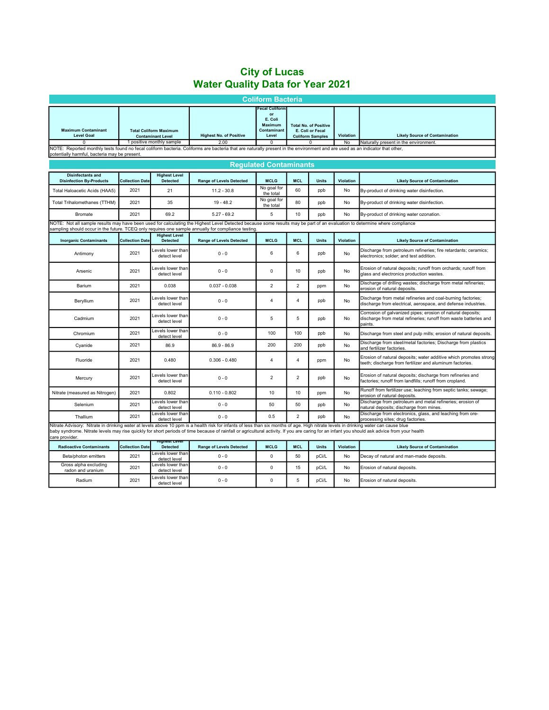## City of Lucas Water Quality Data for Year 2021

| <b>Coliform Bacteria</b>                                                                                                                                                                                                                                                                                                                                                                                |                               |                                                                                        |                                        |                                                                                       |                |                                                                             |                 |                                                                                                                                            |
|---------------------------------------------------------------------------------------------------------------------------------------------------------------------------------------------------------------------------------------------------------------------------------------------------------------------------------------------------------------------------------------------------------|-------------------------------|----------------------------------------------------------------------------------------|----------------------------------------|---------------------------------------------------------------------------------------|----------------|-----------------------------------------------------------------------------|-----------------|--------------------------------------------------------------------------------------------------------------------------------------------|
| <b>Maximum Contaminant</b><br><b>Level Goal</b>                                                                                                                                                                                                                                                                                                                                                         |                               | <b>Total Coliform Maximum</b><br><b>Contaminant Level</b><br>1 positive monthly sample | <b>Highest No. of Positive</b><br>2.00 | <b>Fecal Coliform</b><br>or<br>E. Coli<br>Maximum<br>Contaminant<br>Level<br>$\Omega$ |                | <b>Total No. of Positive</b><br>E. Coli or Fecal<br><b>Coliform Samples</b> | Violation<br>No | <b>Likely Source of Contamination</b><br>Naturally present in the environment.                                                             |
| NOTE: Reported monthly tests found no fecal coliform bacteria. Coliforms are bacteria that are naturally present in the environment and are used as an indicator that other,<br>potentially harmful, bacteria may be present.                                                                                                                                                                           |                               |                                                                                        |                                        |                                                                                       |                |                                                                             |                 |                                                                                                                                            |
|                                                                                                                                                                                                                                                                                                                                                                                                         | <b>Requlated Contaminants</b> |                                                                                        |                                        |                                                                                       |                |                                                                             |                 |                                                                                                                                            |
| <b>Disinfectants and</b><br><b>Disinfection By-Products</b>                                                                                                                                                                                                                                                                                                                                             | <b>Collection Date</b>        | <b>Highest Level</b><br><b>Detected</b>                                                | <b>Range of Levels Detected</b>        | <b>MCLG</b>                                                                           | <b>MCL</b>     | <b>Units</b>                                                                | Violation       | <b>Likely Source of Contamination</b>                                                                                                      |
| Total Haloacetic Acids (HAA5)                                                                                                                                                                                                                                                                                                                                                                           | 2021                          | 21                                                                                     | $11.2 - 30.8$                          | No goal for<br>the total                                                              | 60             | ppb                                                                         | No              | By-product of drinking water disinfection.                                                                                                 |
| Total Trihalomethanes (TTHM)                                                                                                                                                                                                                                                                                                                                                                            | 2021                          | 35                                                                                     | $19 - 48.2$                            | No goal for<br>the total                                                              | 80             | ppb                                                                         | No              | By-product of drinking water disinfection.                                                                                                 |
| <b>Bromate</b>                                                                                                                                                                                                                                                                                                                                                                                          | 2021                          | 69.2                                                                                   | $5.27 - 69.2$                          | 5                                                                                     | 10             | ppb                                                                         | No              | By-product of drinking water ozonation.                                                                                                    |
| NOTE: Not all sample results may have been used for calculating the Highest Level Detected because some results may be part of an evaluation to determine where compliance<br>sampling should occur in the future. TCEQ only requires one sample annually for compliance testing                                                                                                                        |                               |                                                                                        |                                        |                                                                                       |                |                                                                             |                 |                                                                                                                                            |
| <b>Inorganic Contaminants</b>                                                                                                                                                                                                                                                                                                                                                                           | <b>Collection Date</b>        | <b>Highest Level</b><br><b>Detected</b>                                                | <b>Range of Levels Detected</b>        | <b>MCLG</b>                                                                           | <b>MCL</b>     | <b>Units</b>                                                                | Violation       | <b>Likely Source of Contamination</b>                                                                                                      |
| Antimony                                                                                                                                                                                                                                                                                                                                                                                                | 2021                          | Levels lower than<br>detect level                                                      | $0 - 0$                                | 6                                                                                     | 6              | ppb                                                                         | No              | Discharge from petroleum refineries; fire retardants; ceramics;<br>electronics; solder; and test addition.                                 |
| Arsenic                                                                                                                                                                                                                                                                                                                                                                                                 | 2021                          | Levels lower than<br>detect level                                                      | $0 - 0$                                | 0                                                                                     | 10             | ppb                                                                         | No              | Erosion of natural deposits; runoff from orchards; runoff from<br>glass and electronics production wastes.                                 |
| Barium                                                                                                                                                                                                                                                                                                                                                                                                  | 2021                          | 0.038                                                                                  | $0.037 - 0.038$                        | $\overline{c}$                                                                        | $\overline{2}$ | ppm                                                                         | No              | Discharge of drilling wastes; discharge from metal refineries;<br>erosion of natural deposits.                                             |
| Beryllium                                                                                                                                                                                                                                                                                                                                                                                               | 2021                          | Levels lower than<br>detect level                                                      | $0 - 0$                                | $\overline{4}$                                                                        | $\overline{4}$ | ppb                                                                         | No              | Discharge from metal refineries and coal-burning factories;<br>discharge from electrical, aerospace, and defense industries.               |
| Cadmium                                                                                                                                                                                                                                                                                                                                                                                                 | 2021                          | Levels lower than<br>detect level                                                      | $0 - 0$                                | 5                                                                                     | 5              | ppb                                                                         | No              | Corrosion of galvanized pipes; erosion of natural deposits;<br>discharge from metal refineries; runoff from waste batteries and<br>paints. |
| Chromium                                                                                                                                                                                                                                                                                                                                                                                                | 2021                          | Levels lower than<br>detect level                                                      | $0 - 0$                                | 100                                                                                   | 100            | ppb                                                                         | No              | Discharge from steel and pulp mills; erosion of natural deposits.                                                                          |
| Cyanide                                                                                                                                                                                                                                                                                                                                                                                                 | 2021                          | 86.9                                                                                   | $86.9 - 86.9$                          | 200                                                                                   | 200            | ppb                                                                         | No              | Discharge from steel/metal factories; Discharge from plastics<br>and fertilizer factories.                                                 |
| Fluoride                                                                                                                                                                                                                                                                                                                                                                                                | 2021                          | 0.480                                                                                  | $0.306 - 0.480$                        | $\overline{4}$                                                                        | $\overline{4}$ | ppm                                                                         | No              | Erosion of natural deposits; water additive which promotes strong<br>teeth; discharge from fertilizer and aluminum factories.              |
| Mercury                                                                                                                                                                                                                                                                                                                                                                                                 | 2021                          | Levels lower than<br>detect level                                                      | $0 - 0$                                | $\overline{2}$                                                                        | $\overline{2}$ | ppb                                                                         | No              | Erosion of natural deposits; discharge from refineries and<br>factories; runoff from landfills; runoff from cropland.                      |
| Nitrate (measured as Nitrogen)                                                                                                                                                                                                                                                                                                                                                                          | 2021                          | 0.802                                                                                  | $0.110 - 0.802$                        | 10                                                                                    | 10             | ppm                                                                         | <b>No</b>       | Runoff from fertilizer use; leaching from septic tanks; sewage;<br>erosion of natural deposits.                                            |
| Selenium                                                                                                                                                                                                                                                                                                                                                                                                | 2021                          | Levels lower than<br>detect level                                                      | $0 - 0$                                | 50                                                                                    | 50             | ppb                                                                         | No              | Discharge from petroleum and metal refineries; erosion of<br>natural deposits; discharge from mines.                                       |
| Thallium                                                                                                                                                                                                                                                                                                                                                                                                | 2021                          | Levels lower than <b>l</b><br>detect level                                             | $0 - 0$                                | 0.5                                                                                   | $\overline{2}$ | ppb                                                                         | No              | Discharge from electronics, glass, and leaching from ore-<br>processing sites; drug factories.                                             |
| Nitrate Advisory: Nitrate in drinking water at levels above 10 ppm is a health risk for infants of less than six months of age. High nitrate levels in drinking water can cause blue<br>baby syndrome. Nitrate levels may rise quickly for short periods of time because of rainfall or agricultural activity. If you are caring for an infant you should ask advice from your health<br>care provider. |                               |                                                                                        |                                        |                                                                                       |                |                                                                             |                 |                                                                                                                                            |
| <b>Radioactive Contaminants</b>                                                                                                                                                                                                                                                                                                                                                                         | <b>Collection Date</b>        | пописк <del>и п</del> ерие<br><b>Detected</b>                                          | <b>Range of Levels Detected</b>        | <b>MCLG</b>                                                                           | <b>MCL</b>     | <b>Units</b>                                                                | Violation       | <b>Likely Source of Contamination</b>                                                                                                      |
| Beta/photon emitters                                                                                                                                                                                                                                                                                                                                                                                    | 2021                          | Levels lower than<br>detect level                                                      | $0 - 0$                                | $\mathbf 0$                                                                           | 50             | pCi/L                                                                       | No              | Decay of natural and man-made deposits.                                                                                                    |
| Gross alpha excluding<br>radon and uranium                                                                                                                                                                                                                                                                                                                                                              | 2021                          | Levels lower than<br>detect level                                                      | $0 - 0$                                | 0                                                                                     | 15             | pCi/L                                                                       | No              | Erosion of natural deposits.                                                                                                               |
| Radium                                                                                                                                                                                                                                                                                                                                                                                                  | 2021                          | Levels lower than<br>detect level                                                      | $0 - 0$                                | 0                                                                                     | 5              | pCi/L                                                                       | No              | Erosion of natural deposits.                                                                                                               |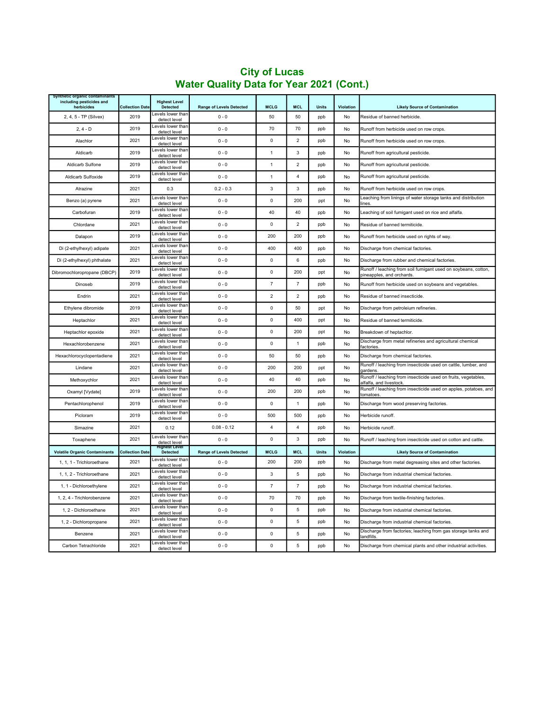| Synthetic organic contaminants<br>including pesticides and<br>herbicides | <b>Collection Date</b> | <b>Highest Level</b><br><b>Detected</b> | <b>Range of Levels Detected</b> | <b>MCLG</b>    | <b>MCL</b>     | <b>Units</b> | Violation | <b>Likely Source of Contamination</b>                                                       |
|--------------------------------------------------------------------------|------------------------|-----------------------------------------|---------------------------------|----------------|----------------|--------------|-----------|---------------------------------------------------------------------------------------------|
| 2, 4, 5 - TP (Silvex)                                                    | 2019                   | evels lower than<br>detect level        | $0 - 0$                         | 50             | 50             | ppb          | No        | Residue of banned herbicide.                                                                |
| $2, 4 - D$                                                               | 2019                   | Levels lower than<br>detect level       | $0 - 0$                         | 70             | 70             | ppb          | No        | Runoff from herbicide used on row crops.                                                    |
| Alachlor                                                                 | 2021                   | Levels lower than<br>detect level       | $0 - 0$                         | 0              | $\overline{2}$ | ppb          | No        | Runoff from herbicide used on row crops.                                                    |
| Aldicarb                                                                 | 2019                   | Levels lower than<br>detect level       | $0 - 0$                         | 1              | 3              | ppb          | No        | Runoff from agricultural pesticide.                                                         |
| Aldicarb Sulfone                                                         | 2019                   | Levels lower than<br>detect level       | $0 - 0$                         | $\mathbf{1}$   | $\sqrt{2}$     | ppb          | No        | Runoff from agricultural pesticide.                                                         |
| Aldicarb Sulfoxide                                                       | 2019                   | Levels lower than<br>detect level       | $0 - 0$                         | $\mathbf{1}$   | $\sqrt{4}$     | ppb          | No        | Runoff from agricultural pesticide.                                                         |
| Atrazine                                                                 | 2021                   | 0.3                                     | $0.2 - 0.3$                     | 3              | 3              | ppb          | No        | Runoff from herbicide used on row crops.                                                    |
| Benzo (a) pyrene                                                         | 2021                   | Levels lower than<br>detect level       | $0 - 0$                         | $\pmb{0}$      | 200            | ppt          | No        | Leaching from linings of water storage tanks and distribution<br>lines                      |
| Carbofuran                                                               | 2019                   | Levels lower than<br>detect level       | $0 - 0$                         | 40             | 40             | ppb          | No        | eaching of soil fumigant used on rice and alfalfa.                                          |
| Chlordane                                                                | 2021                   | Levels lower than<br>detect level       | $0 - 0$                         | $\Omega$       | $\overline{2}$ | ppb          | No        | Residue of banned termiticide.                                                              |
| Dalapon                                                                  | 2019                   | Levels lower than<br>detect level       | $0 - 0$                         | 200            | 200            | ppb          | No        | Runoff from herbicide used on rights of way.                                                |
| Di (2-ethylhexyl) adipate                                                | 2021                   | Levels lower than<br>detect level       | $0 - 0$                         | 400            | 400            | ppb          | No        | Discharge from chemical factories.                                                          |
| Di (2-ethylhexyl) phthalate                                              | 2021                   | Levels lower than<br>detect level       | $0 - 0$                         | $\mathsf 0$    | 6              | ppb          | No        | Discharge from rubber and chemical factories.                                               |
| Dibromochloropropane (DBCP)                                              | 2019                   | Levels lower than<br>detect level       | $0 - 0$                         | $\mathbf 0$    | 200            | ppt          | No        | Runoff / leaching from soil fumigant used on soybeans, cotton,<br>pineapples, and orchards. |
| Dinoseb                                                                  | 2019                   | Levels lower than<br>detect level       | $0 - 0$                         | $\overline{7}$ | $\overline{7}$ | ppb          | No        | Runoff from herbicide used on soybeans and vegetables.                                      |
| Endrin                                                                   | 2021                   | Levels lower than<br>detect level       | $0 - 0$                         | $\overline{2}$ | $\overline{2}$ | ppb          | No        | Residue of banned insecticide.                                                              |
| Ethylene dibromide                                                       | 2019                   | Levels lower than<br>detect level       | $0 - 0$                         | $\pmb{0}$      | 50             | ppt          | No        | Discharge from petroleium refineries.                                                       |
| Heptachlor                                                               | 2021                   | Levels lower than<br>detect level       | $0 - 0$                         | $\mathbf 0$    | 400            | ppt          | No        | Residue of banned termiticide.                                                              |
| Heptachlor epoxide                                                       | 2021                   | Levels lower than<br>detect level       | $0 - 0$                         | $\mathbf 0$    | 200            | ppt          | No        | Breakdown of heptachlor.                                                                    |
| Hexachlorobenzene                                                        | 2021                   | Levels lower than<br>detect level       | $0 - 0$                         | $\pmb{0}$      | $\overline{1}$ | ppb          | No        | Discharge from metal refineries and agricultural chemical<br>factories                      |
| Hexachlorocyclopentadiene                                                | 2021                   | Levels lower than<br>detect level       | $0 - 0$                         | 50             | 50             | ppb          | No        | Discharge from chemical factories.                                                          |
| Lindane                                                                  | 2021                   | Levels lower than<br>detect level       | $0 - 0$                         | 200            | 200            | ppt          | No        | Runoff / leaching from insecticide used on cattle, lumber, and<br>aardens                   |
| Methoxychlor                                                             | 2021                   | Levels lower than<br>detect level       | $0 - 0$                         | 40             | 40             | ppb          | No        | Runoff / leaching from insecticide used on fruits, vegetables,<br>alfalfa, and livestock    |
| Oxamyl [Vydate]                                                          | 2019                   | Levels lower than<br>detect level       | $0 - 0$                         | 200            | 200            | ppb          | No        | Runoff / leaching from insecticide used on apples, potatoes, and<br>tomatoes                |
| Pentachlorophenol                                                        | 2019                   | Levels lower than<br>detect level       | $0 - 0$                         | 0              | $\overline{1}$ | ppb          | No        | Discharge from wood preserving factories.                                                   |
| Picloram                                                                 | 2019                   | Levels lower than<br>detect level       | $0 - 0$                         | 500            | 500            | ppb          | No        | Herbicide runoff.                                                                           |
| Simazine                                                                 | 2021                   | 0.12                                    | $0.08 - 0.12$                   | $\overline{4}$ | $\overline{4}$ | ppb          | No        | Herbicide runoff.                                                                           |
| Toxaphene                                                                | 2021                   | Levels lower than<br>detect level       | $0 - 0$                         | $\pmb{0}$      | 3              | ppb          | No        | Runoff / leaching from insecticide used on cotton and cattle.                               |
| <b>Volatile Organic Contaminants</b>                                     | <b>Collection Date</b> | lighest Leve<br>Detected                | <b>Range of Levels Detected</b> | <b>MCLG</b>    | <b>MCL</b>     | Units        | Violation | <b>Likely Source of Contamination</b>                                                       |
| 1, 1, 1 - Trichloroethane                                                | 2021                   | evels lower than<br>detect level        | $0 - 0$                         | 200            | 200            | ppb          | No        | Discharge from metal degreasing sites and other factories.                                  |
| 1, 1, 2 - Trichloroethane                                                | 2021                   | Levels lower than<br>detect level       | $0 - 0$                         | 3              | 5              | ppb          | No        | Discharge from industrial chemical factories.                                               |
| 1, 1 - Dichloroethylene                                                  | 2021                   | Levels lower than<br>detect level       | $0 - 0$                         | $\overline{7}$ | $\overline{7}$ | ppb          | No        | Discharge from industrial chemical factories.                                               |
| 1, 2, 4 - Trichlorobenzene                                               | 2021                   | Levels lower than<br>detect level       | $0 - 0$                         | 70             | 70             | ppb          | No        | Discharge from textile-finishing factories.                                                 |
| 1, 2 - Dichloroethane                                                    | 2021                   | Levels lower than<br>detect level       | $0 - 0$                         | $\Omega$       | 5              | ppb          | No        | Discharge from industrial chemical factories.                                               |
| 1, 2 - Dichloropropane                                                   | 2021                   | Levels lower than<br>detect level       | $0 - 0$                         | $\pmb{0}$      | 5              | ppb          | No        | Discharge from industrial chemical factories.                                               |
| Benzene                                                                  | 2021                   | Levels lower than<br>detect level       | $0 - 0$                         | 0              | 5              | ppb          | No        | Discharge from factories; leaching from gas storage tanks and<br>landfills.                 |
| Carbon Tetrachloride                                                     | 2021                   | Levels lower than<br>detect level       | $0 - 0$                         | 0              | 5              | ppb          | No        | Discharge from chemical plants and other industrial activities.                             |

## City of Lucas Water Quality Data for Year 2021 (Cont.)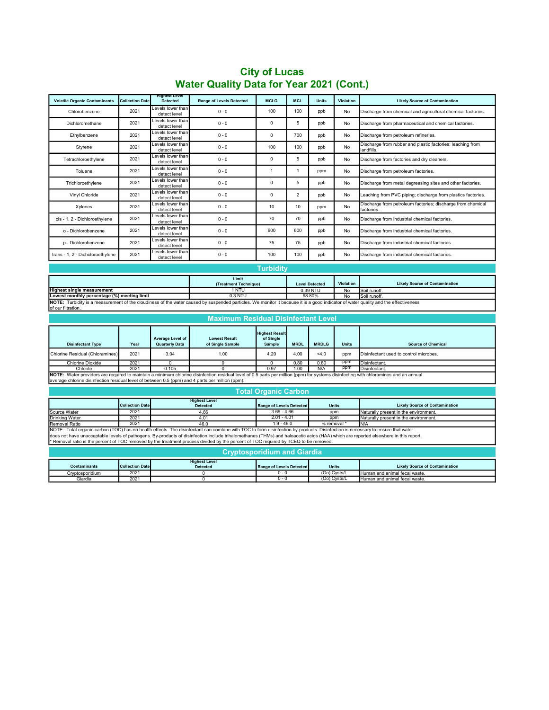### Detected Range of Levels Detected MCLG MCL Units Violation Likely Source of Contamination City of Lucas Water Quality Data for Year 2021 (Cont.)

 $\overline{\phantom{0}}$ 

| <b>Volatile Organic Contaminants</b>                                                                                                                                                                                                                                                                                                                                                                                                                                                                      | <b>Collection Date</b> | Hignest Level<br><b>Detected</b>                 | <b>Range of Levels Detected</b>          | <b>MCLG</b>                     | <b>MCL</b>     | <b>Units</b> | Violation    | <b>Likely Source of Contamination</b>                                     |
|-----------------------------------------------------------------------------------------------------------------------------------------------------------------------------------------------------------------------------------------------------------------------------------------------------------------------------------------------------------------------------------------------------------------------------------------------------------------------------------------------------------|------------------------|--------------------------------------------------|------------------------------------------|---------------------------------|----------------|--------------|--------------|---------------------------------------------------------------------------|
| Chlorobenzene                                                                                                                                                                                                                                                                                                                                                                                                                                                                                             | 2021                   | Levels lower than<br>detect level                | $0 - 0$                                  | 100                             | 100            | ppb          | No           | Discharge from chemical and agricultural chemical factories.              |
| Dichloromethane                                                                                                                                                                                                                                                                                                                                                                                                                                                                                           | 2021                   | evels lower than<br>detect level                 | $0 - 0$                                  | 0                               | 5              | ppb          | No           | Discharge from pharmaceutical and chemical factories.                     |
| Ethylbenzene                                                                                                                                                                                                                                                                                                                                                                                                                                                                                              | 2021                   | evels lower than<br>detect level                 | $0 - 0$                                  | 0                               | 700            | ppb          | No           | Discharge from petroleum refineries.                                      |
| Styrene                                                                                                                                                                                                                                                                                                                                                                                                                                                                                                   | 2021                   | evels lower than<br>detect level                 | $0 - 0$                                  | 100                             | 100            | ppb          | No           | Discharge from rubber and plastic factories; leaching from<br>andfills.   |
| Tetrachloroethylene                                                                                                                                                                                                                                                                                                                                                                                                                                                                                       | 2021                   | Levels lower than<br>detect level                | $0 - 0$                                  | 0                               | 5              | ppb          | No           | Discharge from factories and dry cleaners.                                |
| Toluene                                                                                                                                                                                                                                                                                                                                                                                                                                                                                                   | 2021                   | evels lower than<br>detect level                 | $0 - 0$                                  | $\mathbf{1}$                    | $\mathbf{1}$   | ppm          | No           | Discharge from petroleum factories.                                       |
| Trichloroethylene                                                                                                                                                                                                                                                                                                                                                                                                                                                                                         | 2021                   | evels lower than<br>detect level                 | $0 - 0$                                  | $\Omega$                        | 5              | ppb          | No           | Discharge from metal degreasing sites and other factories.                |
| Vinyl Chloride                                                                                                                                                                                                                                                                                                                                                                                                                                                                                            | 2021                   | Levels lower than<br>detect level                | $0 - 0$                                  | 0                               | $\overline{2}$ | ppb          | No           | Leaching from PVC piping; discharge from plastics factories               |
| Xylenes                                                                                                                                                                                                                                                                                                                                                                                                                                                                                                   | 2021                   | Levels lower than<br>detect level                | $0 - 0$                                  | 10                              | 10             | ppm          | No           | Discharge from petroleum factories; discharge from chemical<br>factories. |
| cis - 1, 2 - Dichloroethylene                                                                                                                                                                                                                                                                                                                                                                                                                                                                             | 2021                   | Levels lower than<br>detect level                | $0 - 0$                                  | 70                              | 70             | ppb          | No           | Discharge from industrial chemical factories.                             |
| o - Dichlorobenzene                                                                                                                                                                                                                                                                                                                                                                                                                                                                                       | 2021                   | evels lower than<br>detect level                 | $0 - 0$                                  | 600                             | 600            | ppb          | No           | Discharge from industrial chemical factories.                             |
| p - Dichlorobenzene                                                                                                                                                                                                                                                                                                                                                                                                                                                                                       | 2021                   | Levels lower than<br>detect level                | $0 - 0$                                  | 75                              | 75             | ppb          | No           | Discharge from industrial chemical factories.                             |
| trans - 1, 2 - Dicholoroethylene                                                                                                                                                                                                                                                                                                                                                                                                                                                                          | 2021                   | Levels lower than<br>detect level                | $0 - 0$                                  | 100                             | 100            | ppb          | No           | Discharge from industrial chemical factories.                             |
|                                                                                                                                                                                                                                                                                                                                                                                                                                                                                                           | <b>Turbidity</b>       |                                                  |                                          |                                 |                |              |              |                                                                           |
| Limit<br>Violation<br><b>Likely Source of Contamination</b><br>(Treatment Technique)<br><b>Level Detected</b>                                                                                                                                                                                                                                                                                                                                                                                             |                        |                                                  |                                          |                                 |                |              |              |                                                                           |
| <b>Highest single measurement</b>                                                                                                                                                                                                                                                                                                                                                                                                                                                                         |                        |                                                  | 1 NTU                                    |                                 |                | 0.39 NTU     | No           | Soil runoff.                                                              |
|                                                                                                                                                                                                                                                                                                                                                                                                                                                                                                           |                        |                                                  |                                          |                                 |                |              |              |                                                                           |
| Lowest monthly percentage (%) meeting limit<br>NOTE: Turbidity is a measurement of the cloudiness of the water caused by suspended particles. We monitor it because it is a good indicator of water quality and the effectiveness<br>of our filtration                                                                                                                                                                                                                                                    |                        |                                                  |                                          |                                 |                |              |              |                                                                           |
| <b>Maximum Residual Disinfectant Level</b>                                                                                                                                                                                                                                                                                                                                                                                                                                                                |                        |                                                  |                                          |                                 |                |              |              |                                                                           |
|                                                                                                                                                                                                                                                                                                                                                                                                                                                                                                           |                        |                                                  |                                          |                                 |                |              |              |                                                                           |
|                                                                                                                                                                                                                                                                                                                                                                                                                                                                                                           |                        |                                                  |                                          | <b>Highest Result</b>           |                |              |              |                                                                           |
| <b>Disinfectant Type</b>                                                                                                                                                                                                                                                                                                                                                                                                                                                                                  | Year                   | <b>Average Level of</b><br><b>Quarterly Data</b> | <b>Lowest Result</b><br>of Single Sample | of Single<br>Sample             | <b>MRDL</b>    | <b>MRDLG</b> | <b>Units</b> | <b>Source of Chemical</b>                                                 |
| <b>Chlorine Residual (Chloramines</b>                                                                                                                                                                                                                                                                                                                                                                                                                                                                     | 2021                   | 3.04                                             | 1.00                                     | 4.20                            | 4.00           | 4.0          | ppm          | Disinfectant used to control microbes.                                    |
| <b>Chlorine Dioxide</b>                                                                                                                                                                                                                                                                                                                                                                                                                                                                                   | 2021                   | $\overline{0}$                                   | $\overline{0}$                           | $\overline{0}$                  | 0.80           | 0.80         | ppm          | Disinfectant.                                                             |
| Chlorite                                                                                                                                                                                                                                                                                                                                                                                                                                                                                                  | 2021                   | 0.105                                            | 0                                        | 0.97                            | 1.00           | N/A          | ppm          | Disinfectant                                                              |
| NOTE: Water providers are required to maintain a minimum chlorine disinfection residual level of 0.5 parts per million (ppm) for systems disinfecting with chloramines and an annual                                                                                                                                                                                                                                                                                                                      |                        |                                                  |                                          |                                 |                |              |              |                                                                           |
| average chlorine disinfection residual level of between 0.5 (ppm) and 4 parts per million (ppm)                                                                                                                                                                                                                                                                                                                                                                                                           |                        |                                                  |                                          |                                 |                |              |              |                                                                           |
| <b>Total Organic Carbon</b>                                                                                                                                                                                                                                                                                                                                                                                                                                                                               |                        |                                                  |                                          |                                 |                |              |              |                                                                           |
|                                                                                                                                                                                                                                                                                                                                                                                                                                                                                                           | <b>Collection Date</b> |                                                  | <b>Highest Level</b><br><b>Detected</b>  | <b>Range of Levels Detected</b> |                | <b>Units</b> |              | <b>Likely Source of Contamination</b>                                     |
| Source Water                                                                                                                                                                                                                                                                                                                                                                                                                                                                                              | 2021                   |                                                  | 4.66                                     | $3.69 - 4.66$                   |                | ppm          |              | Naturally present in the environment                                      |
| <b>Drinking Water</b>                                                                                                                                                                                                                                                                                                                                                                                                                                                                                     | 2021                   |                                                  | 4.01                                     | $2.01 - 4.01$                   |                | ppm          |              | Naturally present in the environment.                                     |
| Removal Ratio                                                                                                                                                                                                                                                                                                                                                                                                                                                                                             | 2021                   |                                                  | 46.0                                     | $1.9 - 46.0$                    |                | % removal    |              | N/A                                                                       |
| NOTE: Total organic carbon (TOC) has no health effects. The disinfectant can combine with TOC to form disinfection by-products. Disinfection is necessary to ensure that water<br>does not have unacceptable levels of pathogens. By-products of disinfection include trihalomethanes (THMs) and haloacetic acids (HAA) which are reported elsewhere in this report.<br>Removal ratio is the percent of TOC removed by the treatment process divided by the percent of TOC required by TCEQ to be removed |                        |                                                  |                                          |                                 |                |              |              |                                                                           |
|                                                                                                                                                                                                                                                                                                                                                                                                                                                                                                           |                        |                                                  | <b>Cryptosporidium and Giardia</b>       |                                 |                |              |              |                                                                           |
|                                                                                                                                                                                                                                                                                                                                                                                                                                                                                                           |                        |                                                  | <b>Highest Level</b>                     |                                 |                |              |              |                                                                           |
| Contaminants                                                                                                                                                                                                                                                                                                                                                                                                                                                                                              | <b>Collection Date</b> |                                                  | <b>Detected</b>                          | <b>Range of Levels Detected</b> |                | <b>Units</b> |              | <b>Likely Source of Contamination</b>                                     |
| Cryptosporidium                                                                                                                                                                                                                                                                                                                                                                                                                                                                                           | $202^{\circ}$          |                                                  |                                          | $0 - 0$                         |                |              | (Oo) Cysts/L | Human and animal fecal waste                                              |
| Giardia                                                                                                                                                                                                                                                                                                                                                                                                                                                                                                   | 2021                   |                                                  | $\overline{0}$                           | $0 - 0$                         |                |              | (Oo) Cysts/L | Human and animal fecal waste.                                             |